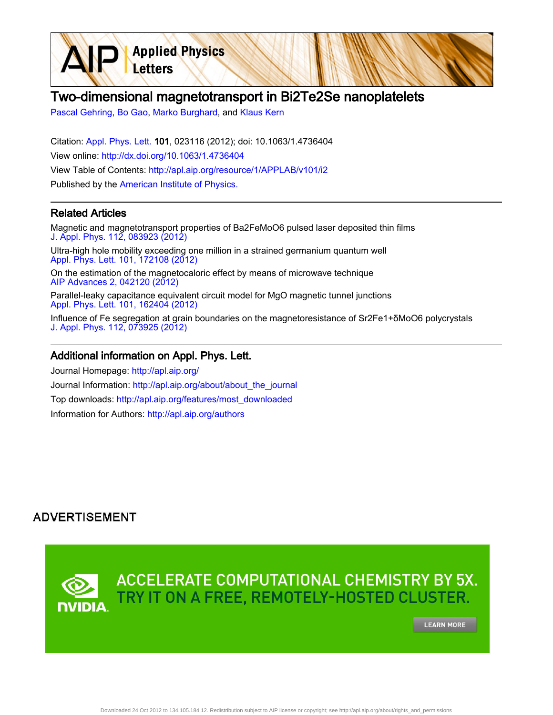# Two-dimensional magnetotransport in Bi2Te2Se nanoplatelets

[Pascal Gehring](http://apl.aip.org/search?sortby=newestdate&q=&searchzone=2&searchtype=searchin&faceted=faceted&key=AIP_ALL&possible1=Pascal Gehring&possible1zone=author&alias=&displayid=AIP&ver=pdfcov), [Bo Gao,](http://apl.aip.org/search?sortby=newestdate&q=&searchzone=2&searchtype=searchin&faceted=faceted&key=AIP_ALL&possible1=Bo Gao&possible1zone=author&alias=&displayid=AIP&ver=pdfcov) [Marko Burghard,](http://apl.aip.org/search?sortby=newestdate&q=&searchzone=2&searchtype=searchin&faceted=faceted&key=AIP_ALL&possible1=Marko Burghard&possible1zone=author&alias=&displayid=AIP&ver=pdfcov) and [Klaus Kern](http://apl.aip.org/search?sortby=newestdate&q=&searchzone=2&searchtype=searchin&faceted=faceted&key=AIP_ALL&possible1=Klaus Kern&possible1zone=author&alias=&displayid=AIP&ver=pdfcov)

Letters

**Applied Physics** 

Citation: [Appl. Phys. Lett. 1](http://apl.aip.org/?ver=pdfcov)01, 023116 (2012); doi: 10.1063/1.4736404 View online: [http://dx.doi.org/10.1063/1.4736404](http://link.aip.org/link/doi/10.1063/1.4736404?ver=pdfcov) View Table of Contents: [http://apl.aip.org/resource/1/APPLAB/v101/i2](http://apl.aip.org/resource/1/APPLAB/v101/i2?ver=pdfcov) Published by the [American Institute of Physics.](http://www.aip.org/?ver=pdfcov)

#### Related Articles

Magnetic and magnetotransport properties of Ba2FeMoO6 pulsed laser deposited thin films [J. Appl. Phys. 112, 083923 \(2012\)](http://link.aip.org/link/doi/10.1063/1.4761843?ver=pdfcov)

Ultra-high hole mobility exceeding one million in a strained germanium quantum well [Appl. Phys. Lett. 101, 172108 \(2012\)](http://link.aip.org/link/doi/10.1063/1.4763476?ver=pdfcov)

On the estimation of the magnetocaloric effect by means of microwave technique [AIP Advances 2, 042120 \(2012\)](http://link.aip.org/link/doi/10.1063/1.4764295?ver=pdfcov)

Parallel-leaky capacitance equivalent circuit model for MgO magnetic tunnel junctions [Appl. Phys. Lett. 101, 162404 \(2012\)](http://link.aip.org/link/doi/10.1063/1.4760279?ver=pdfcov)

Influence of Fe segregation at grain boundaries on the magnetoresistance of Sr2Fe1+δMoO6 polycrystals [J. Appl. Phys. 112, 073925 \(2012\)](http://link.aip.org/link/doi/10.1063/1.4757026?ver=pdfcov)

#### Additional information on Appl. Phys. Lett.

Journal Homepage: [http://apl.aip.org/](http://apl.aip.org/?ver=pdfcov) Journal Information: [http://apl.aip.org/about/about\\_the\\_journal](http://apl.aip.org/about/about_the_journal?ver=pdfcov) Top downloads: [http://apl.aip.org/features/most\\_downloaded](http://apl.aip.org/features/most_downloaded?ver=pdfcov) Information for Authors: [http://apl.aip.org/authors](http://apl.aip.org/authors?ver=pdfcov)

### **ADVERTISEMENT**

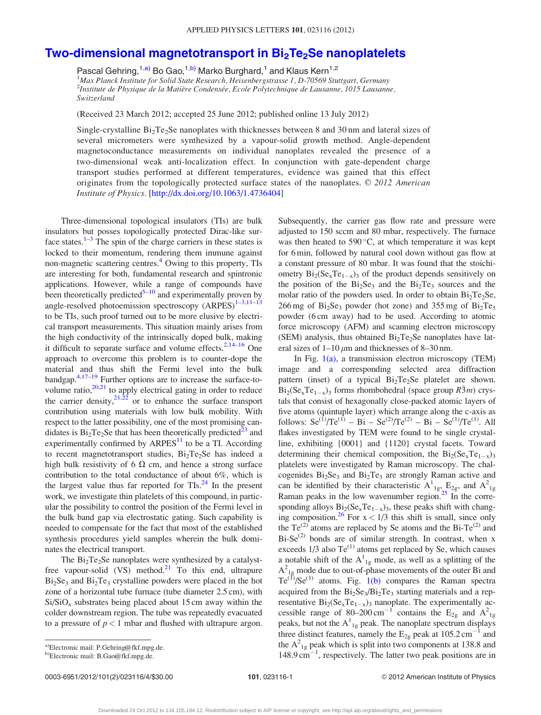## Two-dimensional magnetotransport in Bi<sub>2</sub>Te<sub>2</sub>Se nanoplatelets

Pascal Gehring,<sup>1,a)</sup> Bo Gao,<sup>1,b)</sup> Marko Burghard,<sup>1</sup> and Klaus Kern<sup>1,2</sup> <sup>1</sup>Max Planck Institute for Solid State Research, Heisenbergstrasse 1, D-70569 Stuttgart, Germany <sup>2</sup>Institute de Physique de la Matière Condensée, Ecole Polytechnique de Lausanne, 1015 Lausanne, Switzerland

(Received 23 March 2012; accepted 25 June 2012; published online 13 July 2012)

Single-crystalline  $Bi<sub>2</sub>Te<sub>2</sub>Se$  nanoplates with thicknesses between 8 and 30 nm and lateral sizes of several micrometers were synthesized by a vapour-solid growth method. Angle-dependent magnetoconductance measurements on individual nanoplates revealed the presence of a two-dimensional weak anti-localization effect. In conjunction with gate-dependent charge transport studies performed at different temperatures, evidence was gained that this effect originates from the topologically protected surface states of the nanoplates.  $\odot$  2012 American Institute of Physics. [[http://dx.doi.org/10.1063/1.4736404\]](http://dx.doi.org/10.1063/1.4736404)

Three-dimensional topological insulators (TIs) are bulk insulators but posses topologically protected Dirac-like surface states. $1-3$  $1-3$  The spin of the charge carriers in these states is locked to their momentum, rendering them immune against non-magnetic scattering centres.<sup>4</sup> Owing to this property, TIs are interesting for both, fundamental research and spintronic applications. However, while a range of compounds have been theoretically predicted<sup>[5–10](#page-3-0)</sup> and experimentally proven by angle-resolved photoemission spectroscopy  $(ARPES)^{1-3,11-13}$ to be TIs, such proof turned out to be more elusive by electrical transport measurements. This situation mainly arises from the high conductivity of the intrinsically doped bulk, making it difficult to separate surface and volume effects. $2,14-16$  One approach to overcome this problem is to counter-dope the material and thus shift the Fermi level into the bulk bandgap.<sup>[4,17–](#page-3-0)[19](#page-4-0)</sup> Further options are to increase the surface-tovolume ratio, $20,21$  to apply electrical gating in order to reduce the carrier density,  $21,22$  or to enhance the surface transport contribution using materials with low bulk mobility. With respect to the latter possibility, one of the most promising candidates is  $Bi<sub>2</sub>Te<sub>2</sub>Se$  that has been theoretically predicted<sup>[23](#page-4-0)</sup> and experimentally confirmed by  $ARPES<sup>11</sup>$  $ARPES<sup>11</sup>$  $ARPES<sup>11</sup>$  to be a TI. According to recent magnetotransport studies,  $Bi<sub>2</sub>Te<sub>2</sub>Se$  has indeed a high bulk resistivity of 6  $\Omega$  cm, and hence a strong surface contribution to the total conductance of about 6%, which is the largest value thus far reported for  $TIs.<sup>24</sup>$  In the present work, we investigate thin platelets of this compound, in particular the possibility to control the position of the Fermi level in the bulk band gap via electrostatic gating. Such capability is needed to compensate for the fact that most of the established synthesis procedures yield samples wherein the bulk dominates the electrical transport.

The  $Bi<sub>2</sub>Te<sub>2</sub>Se$  nanoplates were synthesized by a catalystfree vapour-solid (VS) method.<sup>21</sup> To this end, ultrapure  $Bi<sub>2</sub>Se<sub>3</sub>$  and  $Bi<sub>2</sub>Te<sub>3</sub>$  crystalline powders were placed in the hot zone of a horizontal tube furnace (tube diameter 2.5 cm), with  $Si/SiO<sub>x</sub>$  substrates being placed about 15 cm away within the colder downstream region. The tube was repeatedly evacuated to a pressure of  $p < 1$  mbar and flushed with ultrapure argon.

In Fig.  $1(a)$ , a transmission electron microscopy (TEM) image and a corresponding selected area diffraction pattern (inset) of a typical  $Bi<sub>2</sub>Te<sub>2</sub>Se$  platelet are shown.  $Bi_2 Se_xTe_{1-x}$ )<sub>3</sub> forms rhombohedral (space group  $R\overline{3}m$ ) crystals that consist of hexagonally close-packed atomic layers of five atoms (quintuple layer) which arrange along the c-axis as follows:  $Se^{(1)}/Te^{(1)} - Bi - Se^{(2)}/Te^{(2)} - Bi - Se^{(1)}/Te^{(1)}$ . All flakes investigated by TEM were found to be single crystalline, exhibiting {0001} and {1120} crystal facets. Toward determining their chemical composition, the  $Bi_2(Se_xTe_{1-x})_3$ platelets were investigated by Raman microscopy. The chalcogenides  $Bi<sub>2</sub>Se<sub>3</sub>$  and  $Bi<sub>2</sub>Te<sub>3</sub>$  are strongly Raman active and can be identified by their characteristic  $A_{1g}^1$ ,  $E_{2g}$ , and  $A_{1g}^2$ Raman peaks in the low wavenumber region. $^{25}$  In the corresponding alloys  $Bi_2(Se_xTe_{1-x})_3$ , these peaks shift with changing composition.<sup>26</sup> For  $x < 1/3$  this shift is small, since only the  $Te^{(2)}$  atoms are replaced by Se atoms and the Bi-Te<sup>(2)</sup> and  $Bi-Se^{(2)}$  bonds are of similar strength. In contrast, when x exceeds  $1/3$  also Te<sup>(1)</sup> atoms get replaced by Se, which causes a notable shift of the  $A_{1g}^{1}$  mode, as well as a splitting of the  $A^2_{1g}$  mode due to out-of-phase movements of the outer Bi and  $Te^{(1)}/Se^{(1)}$  atoms. Fig. [1\(b\)](#page-2-0) compares the Raman spectra acquired from the  $Bi<sub>2</sub>Se<sub>3</sub>/Bi<sub>2</sub>Te<sub>3</sub>$  starting materials and a representative  $\rm{Bi}_2(\rm{Se}_xTe_{1-x})_3$  nanoplate. The experimentally accessible range of 80–200 cm<sup>-1</sup> contains the  $E_{2g}$  and  $A_{1g}^2$ peaks, but not the  $A_{1g}^{1}$  peak. The nanoplate spectrum displays three distinct features, namely the  $E_{2g}$  peak at 105.2 cm<sup>-1</sup> and the  $A^2_{1g}$  peak which is split into two components at 138.8 and  $148.9 \text{ cm}^{-1}$ , respectively. The latter two peak positions are in

0003-6951/2012/101(2)/023116/4/\$30.00 101, 023116-1 © 2012 American Institute of Physics

Subsequently, the carrier gas flow rate and pressure were adjusted to 150 sccm and 80 mbar, respectively. The furnace was then heated to  $590^{\circ}$ C, at which temperature it was kept for 6 min, followed by natural cool down without gas flow at a constant pressure of 80 mbar. It was found that the stoichiometry  $Bi_2(Se_xTe_{1-x})_3$  of the product depends sensitively on the position of the  $Bi<sub>2</sub>Se<sub>3</sub>$  and the  $Bi<sub>2</sub>Te<sub>3</sub>$  sources and the molar ratio of the powders used. In order to obtain  $Bi<sub>2</sub>Te<sub>2</sub>Se$ , 266 mg of  $Bi<sub>2</sub>Se<sub>3</sub>$  powder (hot zone) and 355 mg of  $Bi<sub>2</sub>Te<sub>3</sub>$ powder (6 cm away) had to be used. According to atomic force microscopy (AFM) and scanning electron microscopy (SEM) analysis, thus obtained  $Bi<sub>2</sub>Te<sub>2</sub>Se$  nanoplates have lateral sizes of  $1-10 \mu m$  and thicknesses of 8–30 nm.

a)Electronic mail: P.Gehring@fkf.mpg.de.

b)Electronic mail: B.Gao@fkf.mpg.de.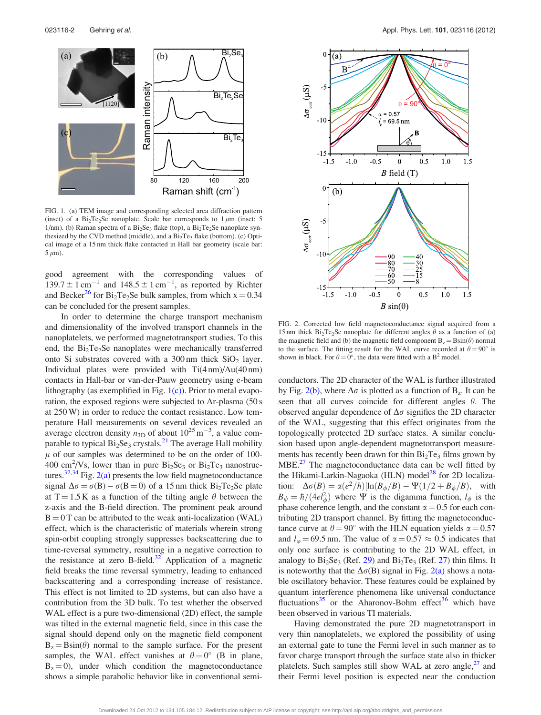<span id="page-2-0"></span>

FIG. 1. (a) TEM image and corresponding selected area diffraction pattern (inset) of a  $Bi_2Te_2Se$  nanoplate. Scale bar corresponds to 1  $\mu$ m (inset: 5 1/nm). (b) Raman spectra of a  $Bi<sub>2</sub>Se<sub>3</sub>$  flake (top), a  $Bi<sub>2</sub>Te<sub>2</sub>Se$  nanoplate synthesized by the CVD method (middle), and a  $Bi<sub>2</sub>Te<sub>3</sub>$  flake (bottom). (c) Optical image of a 15 nm thick flake contacted in Hall bar geometry (scale bar:  $5 \mu m$ ).

good agreement with the corresponding values of  $139.7 \pm 1$  cm<sup>-1</sup> and  $148.5 \pm 1$  cm<sup>-1</sup>, as reported by Richter and Becker<sup>[26](#page-4-0)</sup> for Bi<sub>2</sub>Te<sub>2</sub>Se bulk samples, from which  $x = 0.34$ can be concluded for the present samples.

In order to determine the charge transport mechanism and dimensionality of the involved transport channels in the nanoplatelets, we performed magnetotransport studies. To this end, the  $Bi<sub>2</sub>Te<sub>2</sub>Se$  nanoplates were mechanically transferred onto Si substrates covered with a  $300 \text{ nm}$  thick  $SiO<sub>2</sub>$  layer. Individual plates were provided with Ti(4 nm)/Au(40 nm) contacts in Hall-bar or van-der-Pauw geometry using e-beam lithography (as exemplified in Fig. 1(c)). Prior to metal evaporation, the exposed regions were subjected to Ar-plasma (50 s at 250 W) in order to reduce the contact resistance. Low temperature Hall measurements on several devices revealed an average electron density  $n_{3D}$  of about  $10^{25}$  m<sup>-3</sup>, a value comparable to typical  $Bi<sub>2</sub>Se<sub>3</sub>$  crystals.<sup>21</sup> The average Hall mobility  $\mu$  of our samples was determined to be on the order of 100-400 cm<sup>2</sup>/Vs, lower than in pure  $Bi<sub>2</sub>Se<sub>3</sub>$  or  $Bi<sub>2</sub>Te<sub>3</sub>$  nanostructures.<sup>32,34</sup> Fig. 2(a) presents the low field magnetoconductance signal  $\Delta \sigma = \sigma(B) - \sigma(B = 0)$  of a 15 nm thick Bi<sub>2</sub>Te<sub>2</sub>Se plate at T = 1.5 K as a function of the tilting angle  $\theta$  between the z-axis and the B-field direction. The prominent peak around  $B = 0$  T can be attributed to the weak anti-localization (WAL) effect, which is the characteristic of materials wherein strong spin-orbit coupling strongly suppresses backscattering due to time-reversal symmetry, resulting in a negative correction to the resistance at zero B-field. $32$  Application of a magnetic field breaks the time reversal symmetry, leading to enhanced backscattering and a corresponding increase of resistance. This effect is not limited to 2D systems, but can also have a contribution from the 3D bulk. To test whether the observed WAL effect is a pure two-dimensional (2D) effect, the sample was tilted in the external magnetic field, since in this case the signal should depend only on the magnetic field component  $B_z = B\sin(\theta)$  normal to the sample surface. For the present samples, the WAL effect vanishes at  $\theta = 0^{\circ}$  (B in plane,  $B<sub>z</sub> = 0$ , under which condition the magnetoconductance shows a simple parabolic behavior like in conventional semi-



FIG. 2. Corrected low field magnetoconductance signal acquired from a 15 nm thick Bi<sub>2</sub>Te<sub>2</sub>Se nanoplate for different angles  $\theta$  as a function of (a) the magnetic field and (b) the magnetic field component  $B_z = B\sin(\theta)$  normal to the surface. The fitting result for the WAL curve recorded at  $\theta = 90^\circ$  is shown in black. For  $\theta = 0^{\circ}$ , the data were fitted with a B<sup>2</sup> model.

conductors. The 2D character of the WAL is further illustrated by Fig. 2(b), where  $\Delta \sigma$  is plotted as a function of B<sub>z</sub>. It can be seen that all curves coincide for different angles  $\theta$ . The observed angular dependence of  $\Delta\sigma$  signifies the 2D character of the WAL, suggesting that this effect originates from the topologically protected 2D surface states. A similar conclusion based upon angle-dependent magnetotransport measurements has recently been drawn for thin  $Bi<sub>2</sub>Te<sub>3</sub>$  films grown by MBE.<sup>[27](#page-4-0)</sup> The magnetoconductance data can be well fitted by the Hikami-Larkin-Nagaoka (HLN) model<sup>28</sup> for 2D localization:  $\Delta \sigma(B) = \alpha (e^2/h) [\ln(B_\phi/B) - \Psi(1/2 + B_\phi/B)]$ , with  $B_{\phi} = \hbar/(4el_{\phi}^2)$  where  $\Psi$  is the digamma function,  $l_{\phi}$  is the phase coherence length, and the constant  $\alpha = 0.5$  for each contributing 2D transport channel. By fitting the magnetoconductance curve at  $\theta = 90^{\circ}$  with the HLN equation yields  $\alpha = 0.57$ and  $l_{\varphi} = 69.5$  nm. The value of  $\alpha = 0.57 \approx 0.5$  indicates that only one surface is contributing to the 2D WAL effect, in analogy to  $Bi<sub>2</sub>Se<sub>3</sub>$  (Ref. [29\)](#page-4-0) and  $Bi<sub>2</sub>Te<sub>3</sub>$  (Ref. [27](#page-4-0)) thin films. It is noteworthy that the  $\Delta \sigma(B)$  signal in Fig. 2(a) shows a notable oscillatory behavior. These features could be explained by quantum interference phenomena like universal conductance fluctuations<sup>[35](#page-4-0)</sup> or the Aharonov-Bohm effect<sup>[36](#page-4-0)</sup> which have been observed in various TI materials.

Having demonstrated the pure 2D magnetotransport in very thin nanoplatelets, we explored the possibility of using an external gate to tune the Fermi level in such manner as to favor charge transport through the surface state also in thicker platelets. Such samples still show WAL at zero angle, $27$  and their Fermi level position is expected near the conduction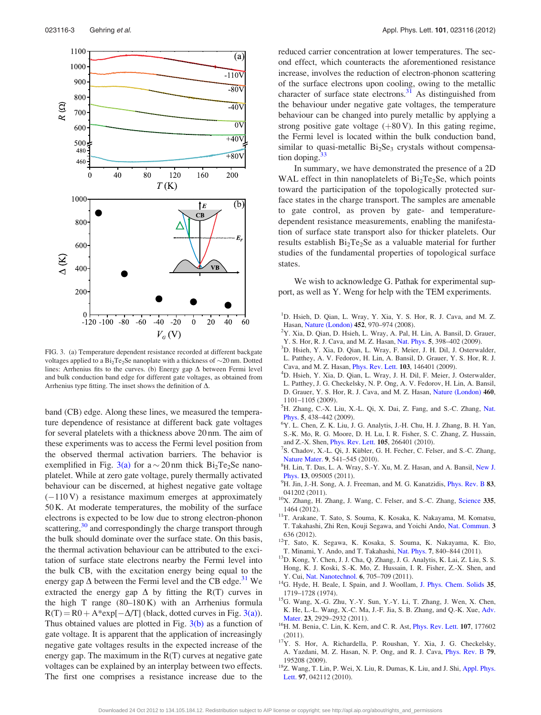<span id="page-3-0"></span>

FIG. 3. (a) Temperature dependent resistance recorded at different backgate voltages applied to a  $Bi_2Te_2Se$  nanoplate with a thickness of  $\sim$ 20 nm. Dotted lines: Arrhenius fits to the curves. (b) Energy gap  $\Delta$  between Fermi level and bulk conduction band edge for different gate voltages, as obtained from Arrhenius type fitting. The inset shows the definition of  $\Delta$ .

band (CB) edge. Along these lines, we measured the temperature dependence of resistance at different back gate voltages for several platelets with a thickness above 20 nm. The aim of these experiments was to access the Fermi level position from the observed thermal activation barriers. The behavior is exemplified in Fig. 3(a) for  $a \sim 20$  nm thick Bi<sub>2</sub>Te<sub>2</sub>Se nanoplatelet. While at zero gate voltage, purely thermally activated behaviour can be discerned, at highest negative gate voltage  $(-110 V)$  a resistance maximum emerges at approximately 50 K. At moderate temperatures, the mobility of the surface electrons is expected to be low due to strong electron-phonon scattering,<sup>[30](#page-4-0)</sup> and correspondingly the charge transport through the bulk should dominate over the surface state. On this basis, the thermal activation behaviour can be attributed to the excitation of surface state electrons nearby the Fermi level into the bulk CB, with the excitation energy being equal to the energy gap  $\Delta$  between the Fermi level and the CB edge.<sup>31</sup> We extracted the energy gap  $\Delta$  by fitting the R(T) curves in the high T range  $(80-180 \text{ K})$  with an Arrhenius formula  $R(T) = R0 + A*exp[-\Delta/T]$  (black, dotted curves in Fig. 3(a)). Thus obtained values are plotted in Fig.  $3(b)$  as a function of gate voltage. It is apparent that the application of increasingly negative gate voltages results in the expected increase of the energy gap. The maximum in the R(T) curves at negative gate voltages can be explained by an interplay between two effects. The first one comprises a resistance increase due to the

reduced carrier concentration at lower temperatures. The second effect, which counteracts the aforementioned resistance increase, involves the reduction of electron-phonon scattering of the surface electrons upon cooling, owing to the metallic character of surface state electrons. $31$  As distinguished from the behaviour under negative gate voltages, the temperature behaviour can be changed into purely metallic by applying a strong positive gate voltage  $(+80 \text{ V})$ . In this gating regime, the Fermi level is located within the bulk conduction band, similar to quasi-metallic  $Bi<sub>2</sub>Se<sub>3</sub>$  crystals without compensation doping. $33$ 

In summary, we have demonstrated the presence of a 2D WAL effect in thin nanoplatelets of  $Bi<sub>2</sub>Te<sub>2</sub>Se$ , which points toward the participation of the topologically protected surface states in the charge transport. The samples are amenable to gate control, as proven by gate- and temperaturedependent resistance measurements, enabling the manifestation of surface state transport also for thicker platelets. Our results establish  $Bi<sub>2</sub>Te<sub>2</sub>Se$  as a valuable material for further studies of the fundamental properties of topological surface states.

We wish to acknowledge G. Pathak for experimental support, as well as Y. Weng for help with the TEM experiments.

- <sup>1</sup>D. Hsieh, D. Qian, L. Wray, Y. Xia, Y. S. Hor, R. J. Cava, and M. Z. Hasan, [Nature \(London\)](http://dx.doi.org/10.1038/nature06843) <sup>452</sup>, 970–974 (2008). <sup>2</sup>
- $2Y$ . Xia, D. Qian, D. Hsieh, L. Wray, A. Pal, H. Lin, A. Bansil, D. Grauer, Y. S. Hor, R. J. Cava, and M. Z. Hasan, [Nat. Phys.](http://dx.doi.org/10.1038/nphys1274) 5, 398-402 (2009).
- <sup>3</sup>D. Hsieh, Y. Xia, D. Qian, L. Wray, F. Meier, J. H. Dil, J. Osterwalder, L. Patthey, A. V. Fedorov, H. Lin, A. Bansil, D. Grauer, Y. S. Hor, R. J.
- Cava, and M. Z. Hasan, [Phys. Rev. Lett.](http://dx.doi.org/10.1103/PhysRevLett.103.146401) <sup>103</sup>, 146401 (2009). <sup>4</sup> <sup>4</sup>D. Hsieh, Y. Xia, D. Qian, L. Wray, J. H. Dil, F. Meier, J. Osterwalder,
- L. Patthey, J. G. Checkelsky, N. P. Ong, A. V. Fedorov, H. Lin, A. Bansil, D. Grauer, Y. S. Hor, R. J. Cava, and M. Z. Hasan, [Nature \(London\)](http://dx.doi.org/10.1038/nature08234) 460, 1101–1105 (2009).
- <sup>5</sup>H. Zhang, C.-X. Liu, X.-L. Qi, X. Dai, Z. Fang, and S.-C. Zhang, [Nat.](http://dx.doi.org/10.1038/nphys1270) [Phys.](http://dx.doi.org/10.1038/nphys1270) 5, 438-442 (2009).
- Y. L. Chen, Z. K. Liu, J. G. Analytis, J.-H. Chu, H. J. Zhang, B. H. Yan, S.-K. Mo, R. G. Moore, D. H. Lu, I. R. Fisher, S. C. Zhang, Z. Hussain, and Z.-X. Shen, *[Phys. Rev. Lett.](http://dx.doi.org/10.1103/PhysRevLett.105.266401)* **105**, 266401 (2010).
- <sup>7</sup>S. Chadov, X.-L. Qi, J. Kübler, G. H. Fecher, C. Felser, and S.-C. Zhang, [Nature Mater.](http://dx.doi.org/10.1038/nmat2770) 9, 541-545 (2010).
- <sup>8</sup>H. Lin, T. Das, L. A. Wray, S.-Y. Xu, M. Z. Hasan, and A. Bansil, [New J.](http://dx.doi.org/10.1088/1367-2630/13/9/095005) [Phys.](http://dx.doi.org/10.1088/1367-2630/13/9/095005) 13, 095005 (2011).
- $^{9}$ H. Jin, J.-H. Song, A. J. Freeman, and M. G. Kanatzidis, *[Phys. Rev. B](http://dx.doi.org/10.1103/PhysRevB.83.041202)* 83,
- 041202 (2011).  $10X$ . Zhang, H. Zhang, J. Wang, C. Felser, and S.-C. Zhang, [Science](http://dx.doi.org/10.1126/science.1216184) 335,
- 1464 (2012). 11T. Arakane, T. Sato, S. Souma, K. Kosaka, K. Nakayama, M. Komatsu, T. Takahashi, Zhi Ren, Kouji Segawa, and Yoichi Ando, [Nat. Commun.](http://dx.doi.org/10.1038/ncomms1639) 3
- 636 (2012).  $12T$ . Sato, K. Segawa, K. Kosaka, S. Souma, K. Nakayama, K. Eto, T. Minami, Y. Ando, and T. Takahashi, Nat. Phys. 7, 840–844 (2011).
- <sup>13</sup>D. Kong, Y. Chen, J. J. Cha, Q. Zhang, J. G. Analytis, K. Lai, Z. Liu, S. S. Hong, K. J. Koski, S.-K. Mo, Z. Hussain, I. R. Fisher, Z.-X. Shen, and
- Y. Cui, [Nat. Nanotechnol.](http://dx.doi.org/10.1038/nnano.2011.172) 6, 705–709 (2011). <sup>14</sup>G. Hyde, H. Beale, I. Spain, and J. Woollam, [J. Phys. Chem. Solids](http://dx.doi.org/10.1016/S0022-3697(74)80186-1) 35,
- 1719–1728 (1974). 15G. Wang, X.-G. Zhu, Y.-Y. Sun, Y.-Y. Li, T. Zhang, J. Wen, X. Chen, K. He, L.-L. Wang, X.-C. Ma, J.-F. Jia, S. B. Zhang, and Q.-K. Xue, [Adv.](http://dx.doi.org/10.1002/adma.201100678)
- [Mater.](http://dx.doi.org/10.1002/adma.201100678) **23**, 2929–2932 (2011). <sup>16</sup>H. M. Benia, C. Lin, K. Kern, and C. R. Ast, *[Phys. Rev. Lett.](http://dx.doi.org/10.1103/PhysRevLett.107.177602)* **107**, 177602
- (2011).  $17Y$ . S. Hor, A. Richardella, P. Roushan, Y. Xia, J. G. Checkelsky, A. Yazdani, M. Z. Hasan, N. P. Ong, and R. J. Cava, [Phys. Rev. B](http://dx.doi.org/10.1103/PhysRevB.79.195208) 79,
- <sup>18</sup>Z. Wang, T. Lin, P. Wei, X. Liu, R. Dumas, K. Liu, and J. Shi, [Appl. Phys.](http://dx.doi.org/10.1063/1.3473778) [Lett.](http://dx.doi.org/10.1063/1.3473778) 97, 042112 (2010).